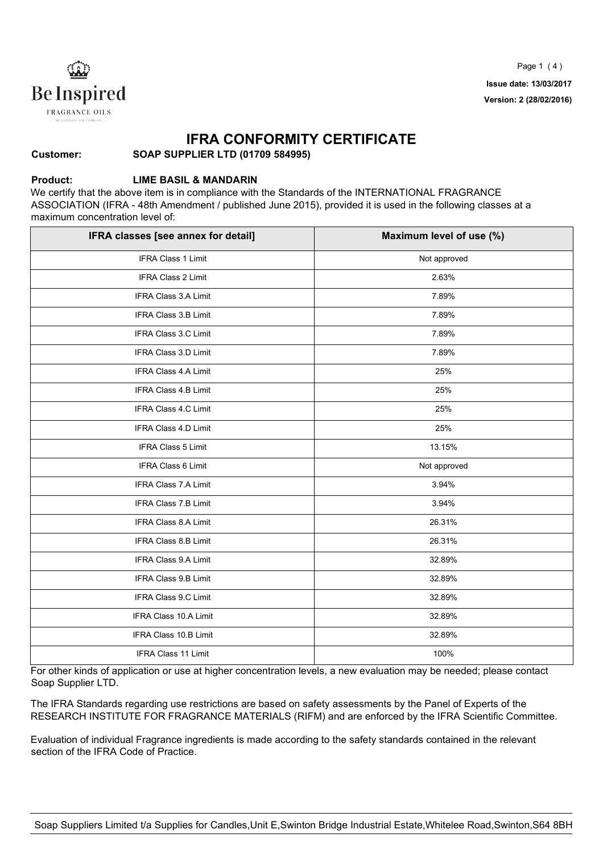

#### **IFRA CONFORMITY CERTIFICATE**

**SOAP SUPPLIER LTD (01709 584995)**

#### **Product:**

**Customer:**

#### **LIME BASIL & MANDARIN**

We certify that the above item is in compliance with the Standards of the INTERNATIONAL FRAGRANCE ASSOCIATION (IFRA - 48th Amendment / published June 2015), provided it is used in the following classes at a maximum concentration level of:

| IFRA classes [see annex for detail] | Maximum level of use (%) |
|-------------------------------------|--------------------------|
| IFRA Class 1 Limit                  | Not approved             |
| <b>IFRA Class 2 Limit</b>           | 2.63%                    |
| <b>IFRA Class 3.A Limit</b>         | 7.89%                    |
| <b>IFRA Class 3.B Limit</b>         | 7.89%                    |
| IFRA Class 3.C Limit                | 7.89%                    |
| IFRA Class 3.D Limit                | 7.89%                    |
| IFRA Class 4.A Limit                | 25%                      |
| <b>IFRA Class 4.B Limit</b>         | 25%                      |
| <b>IFRA Class 4.C Limit</b>         | 25%                      |
| <b>IFRA Class 4.D Limit</b>         | 25%                      |
| IFRA Class 5 Limit                  | 13.15%                   |
| <b>IFRA Class 6 Limit</b>           | Not approved             |
| <b>IFRA Class 7.A Limit</b>         | 3.94%                    |
| IFRA Class 7.B Limit                | 3.94%                    |
| IFRA Class 8.A Limit                | 26.31%                   |
| IFRA Class 8.B Limit                | 26.31%                   |
| IFRA Class 9.A Limit                | 32.89%                   |
| <b>IFRA Class 9.B Limit</b>         | 32.89%                   |
| IFRA Class 9.C Limit                | 32.89%                   |
| <b>IFRA Class 10.A Limit</b>        | 32.89%                   |
| IFRA Class 10.B Limit               | 32.89%                   |
| <b>IFRA Class 11 Limit</b>          | 100%                     |

For other kinds of application or use at higher concentration levels, a new evaluation may be needed; please contact Soap Supplier LTD.

The IFRA Standards regarding use restrictions are based on safety assessments by the Panel of Experts of the RESEARCH INSTITUTE FOR FRAGRANCE MATERIALS (RIFM) and are enforced by the IFRA Scientific Committee.

Evaluation of individual Fragrance ingredients is made according to the safety standards contained in the relevant section of the IFRA Code of Practice.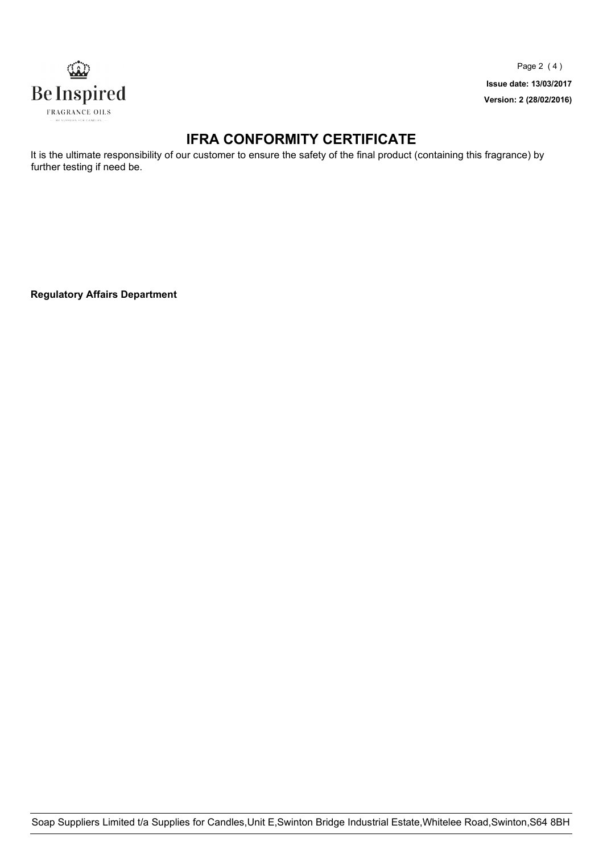

Page 2 ( 4 ) **Issue date: 13/03/2017 Version: 2 (28/02/2016)**

## **IFRA CONFORMITY CERTIFICATE**

It is the ultimate responsibility of our customer to ensure the safety of the final product (containing this fragrance) by further testing if need be.

**Regulatory Affairs Department**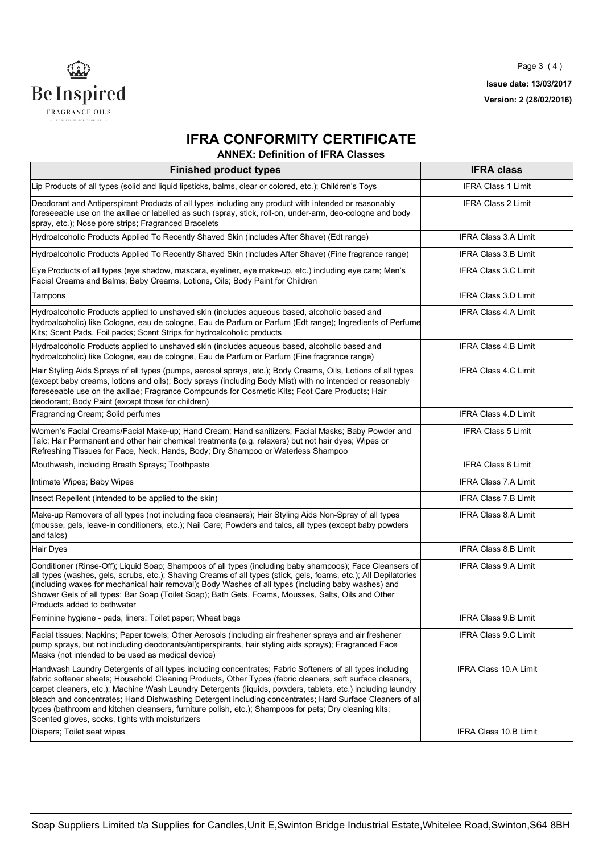

# **IFRA CONFORMITY CERTIFICATE**

**ANNEX: Definition of IFRA Classes**

| <b>Finished product types</b>                                                                                                                                                                                                                                                                                                                                                                                                                                                                                                                                                                                | <b>IFRA class</b>           |  |
|--------------------------------------------------------------------------------------------------------------------------------------------------------------------------------------------------------------------------------------------------------------------------------------------------------------------------------------------------------------------------------------------------------------------------------------------------------------------------------------------------------------------------------------------------------------------------------------------------------------|-----------------------------|--|
| Lip Products of all types (solid and liquid lipsticks, balms, clear or colored, etc.); Children's Toys                                                                                                                                                                                                                                                                                                                                                                                                                                                                                                       | <b>IFRA Class 1 Limit</b>   |  |
| Deodorant and Antiperspirant Products of all types including any product with intended or reasonably<br>foreseeable use on the axillae or labelled as such (spray, stick, roll-on, under-arm, deo-cologne and body<br>spray, etc.); Nose pore strips; Fragranced Bracelets                                                                                                                                                                                                                                                                                                                                   | <b>IFRA Class 2 Limit</b>   |  |
| Hydroalcoholic Products Applied To Recently Shaved Skin (includes After Shave) (Edt range)                                                                                                                                                                                                                                                                                                                                                                                                                                                                                                                   | <b>IFRA Class 3.A Limit</b> |  |
| Hydroalcoholic Products Applied To Recently Shaved Skin (includes After Shave) (Fine fragrance range)                                                                                                                                                                                                                                                                                                                                                                                                                                                                                                        | <b>IFRA Class 3.B Limit</b> |  |
| Eye Products of all types (eye shadow, mascara, eyeliner, eye make-up, etc.) including eye care; Men's<br>Facial Creams and Balms; Baby Creams, Lotions, Oils; Body Paint for Children                                                                                                                                                                                                                                                                                                                                                                                                                       | <b>IFRA Class 3.C Limit</b> |  |
| Tampons                                                                                                                                                                                                                                                                                                                                                                                                                                                                                                                                                                                                      | <b>IFRA Class 3.D Limit</b> |  |
| Hydroalcoholic Products applied to unshaved skin (includes aqueous based, alcoholic based and<br>hydroalcoholic) like Cologne, eau de cologne, Eau de Parfum or Parfum (Edt range); Ingredients of Perfume<br>Kits; Scent Pads, Foil packs; Scent Strips for hydroalcoholic products                                                                                                                                                                                                                                                                                                                         | <b>IFRA Class 4.A Limit</b> |  |
| Hydroalcoholic Products applied to unshaved skin (includes aqueous based, alcoholic based and<br>hydroalcoholic) like Cologne, eau de cologne, Eau de Parfum or Parfum (Fine fragrance range)                                                                                                                                                                                                                                                                                                                                                                                                                | IFRA Class 4.B Limit        |  |
| Hair Styling Aids Sprays of all types (pumps, aerosol sprays, etc.); Body Creams, Oils, Lotions of all types<br>(except baby creams, lotions and oils); Body sprays (including Body Mist) with no intended or reasonably<br>foreseeable use on the axillae; Fragrance Compounds for Cosmetic Kits; Foot Care Products; Hair<br>deodorant; Body Paint (except those for children)                                                                                                                                                                                                                             | <b>IFRA Class 4.C Limit</b> |  |
| Fragrancing Cream; Solid perfumes                                                                                                                                                                                                                                                                                                                                                                                                                                                                                                                                                                            | <b>IFRA Class 4.D Limit</b> |  |
| Women's Facial Creams/Facial Make-up; Hand Cream; Hand sanitizers; Facial Masks; Baby Powder and<br>Talc; Hair Permanent and other hair chemical treatments (e.g. relaxers) but not hair dyes; Wipes or<br>Refreshing Tissues for Face, Neck, Hands, Body; Dry Shampoo or Waterless Shampoo                                                                                                                                                                                                                                                                                                                  | <b>IFRA Class 5 Limit</b>   |  |
| Mouthwash, including Breath Sprays; Toothpaste                                                                                                                                                                                                                                                                                                                                                                                                                                                                                                                                                               | IFRA Class 6 Limit          |  |
| Intimate Wipes; Baby Wipes                                                                                                                                                                                                                                                                                                                                                                                                                                                                                                                                                                                   | IFRA Class 7.A Limit        |  |
| Insect Repellent (intended to be applied to the skin)                                                                                                                                                                                                                                                                                                                                                                                                                                                                                                                                                        | <b>IFRA Class 7.B Limit</b> |  |
| Make-up Removers of all types (not including face cleansers); Hair Styling Aids Non-Spray of all types<br>(mousse, gels, leave-in conditioners, etc.); Nail Care; Powders and talcs, all types (except baby powders<br>and talcs)                                                                                                                                                                                                                                                                                                                                                                            | IFRA Class 8.A Limit        |  |
| <b>Hair Dyes</b>                                                                                                                                                                                                                                                                                                                                                                                                                                                                                                                                                                                             | IFRA Class 8.B Limit        |  |
| Conditioner (Rinse-Off); Liquid Soap; Shampoos of all types (including baby shampoos); Face Cleansers of<br>all types (washes, gels, scrubs, etc.); Shaving Creams of all types (stick, gels, foams, etc.); All Depilatories<br>(including waxes for mechanical hair removal); Body Washes of all types (including baby washes) and<br>Shower Gels of all types; Bar Soap (Toilet Soap); Bath Gels, Foams, Mousses, Salts, Oils and Other<br>Products added to bathwater                                                                                                                                     | IFRA Class 9.A Limit        |  |
| Feminine hygiene - pads, liners; Toilet paper; Wheat bags                                                                                                                                                                                                                                                                                                                                                                                                                                                                                                                                                    | IFRA Class 9.B Limit        |  |
| Facial tissues; Napkins; Paper towels; Other Aerosols (including air freshener sprays and air freshener<br>pump sprays, but not including deodorants/antiperspirants, hair styling aids sprays); Fragranced Face<br>Masks (not intended to be used as medical device)                                                                                                                                                                                                                                                                                                                                        | IFRA Class 9.C Limit        |  |
| Handwash Laundry Detergents of all types including concentrates; Fabric Softeners of all types including<br>fabric softener sheets; Household Cleaning Products, Other Types (fabric cleaners, soft surface cleaners,<br>carpet cleaners, etc.); Machine Wash Laundry Detergents (liquids, powders, tablets, etc.) including laundry<br>bleach and concentrates; Hand Dishwashing Detergent including concentrates; Hard Surface Cleaners of all<br>types (bathroom and kitchen cleansers, furniture polish, etc.); Shampoos for pets; Dry cleaning kits;<br>Scented gloves, socks, tights with moisturizers | IFRA Class 10.A Limit       |  |
| Diapers; Toilet seat wipes                                                                                                                                                                                                                                                                                                                                                                                                                                                                                                                                                                                   | IFRA Class 10.B Limit       |  |